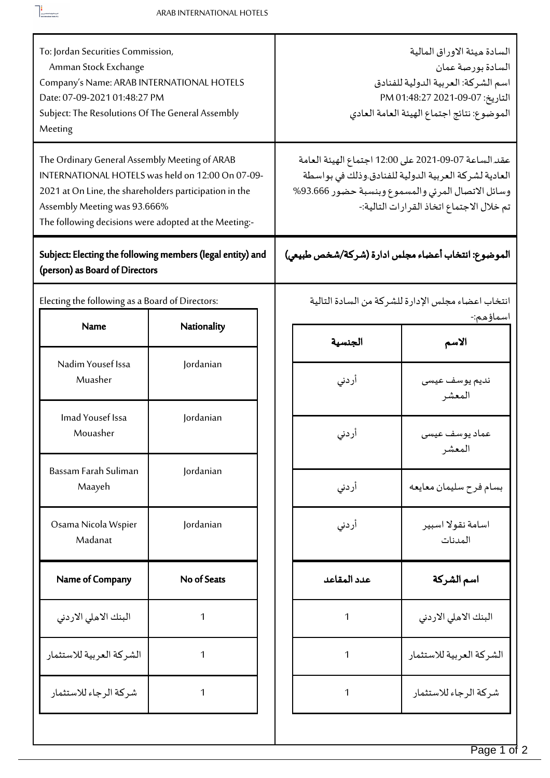$\begin{tabular}{|c|c|} \hline \rule{0.3cm}{.4cm} & & \\\hline \rule{0.3cm}{.4cm} & & \\\hline \rule{0.3cm}{.4cm} & & \\\hline \rule{0.3cm}{.4cm} & & \\\hline \rule{0.3cm}{.4cm} & & \\\hline \rule{0.3cm}{.4cm} & & \\\hline \rule{0.3cm}{.4cm} & & \\\hline \rule{0.3cm}{.4cm} & & \\\hline \rule{0.3cm}{.4cm} & & \\\hline \rule{0.3cm}{.4cm} & & \\\hline \rule{0.3cm}{.4cm} & & \\\hline \rule{0.3cm$ 

| To: Jordan Securities Commission,<br>Amman Stock Exchange<br>Company's Name: ARAB INTERNATIONAL HOTELS<br>Date: 07-09-2021 01:48:27 PM<br>Subject: The Resolutions Of The General Assembly<br>Meeting                                                |             |  | السادة ميئة الاوراق المالية<br>السادة بورصة عمان<br>اسم الشركة: العربية الدولية للفنادق<br>التاريخ: 07-09-2021 PM 01:48:27<br>الموضوع: نتائج اجتماع الهيئة العامة العادي                                       |                              |  |
|------------------------------------------------------------------------------------------------------------------------------------------------------------------------------------------------------------------------------------------------------|-------------|--|----------------------------------------------------------------------------------------------------------------------------------------------------------------------------------------------------------------|------------------------------|--|
| The Ordinary General Assembly Meeting of ARAB<br>INTERNATIONAL HOTELS was held on 12:00 On 07-09-<br>2021 at On Line, the shareholders participation in the<br>Assembly Meeting was 93.666%<br>The following decisions were adopted at the Meeting:- |             |  | عقد الساعة 07-09-2021 على 12:00 اجتماع الهيئة العامة<br>العادية لشركة العربية الدولية للفنادق.وذلك في بواسطة<br>وسائل الاتصال المرئي والمسموع وبنسبة حضور 93.666%<br>تم خلال الاجتماع اتخاذ القرارات التالية:- |                              |  |
| Subject: Electing the following members (legal entity) and<br>(person) as Board of Directors                                                                                                                                                         |             |  | الموضوع: انتخاب أعضاء مجلس ادارة (شركة/شخص طبيعي)                                                                                                                                                              |                              |  |
| Electing the following as a Board of Directors:                                                                                                                                                                                                      |             |  | انتخاب اعضاء مجلس الإدارة للشركة من السادة التالية<br>اسماؤهم:-                                                                                                                                                |                              |  |
| Name                                                                                                                                                                                                                                                 | Nationality |  | الجنسية                                                                                                                                                                                                        | الاسم                        |  |
| Nadim Yousef Issa<br>Muasher                                                                                                                                                                                                                         | Jordanian   |  | أردني                                                                                                                                                                                                          | نديم يوسف عيسى<br>المعشر     |  |
| Imad Yousef Issa<br>Mouasher                                                                                                                                                                                                                         | Jordanian   |  | أردني                                                                                                                                                                                                          | عماد يوسف عيسى<br>المعشر     |  |
| Bassam Farah Suliman<br>Maayeh                                                                                                                                                                                                                       | Jordanian   |  | أردني                                                                                                                                                                                                          | بسام فرح سليمان معايعه       |  |
| Osama Nicola Wspier<br>Madanat                                                                                                                                                                                                                       | Jordanian   |  | أردنى                                                                                                                                                                                                          | اسامة نقولا اسبير<br>المدنات |  |
| Name of Company                                                                                                                                                                                                                                      | No of Seats |  | عدد المقاعد                                                                                                                                                                                                    | اسم الشركة                   |  |
| البنك الاهلى الاردنى                                                                                                                                                                                                                                 | 1           |  | 1                                                                                                                                                                                                              | البنك الاملي الاردني         |  |
| الشركة العربية للاستثمار                                                                                                                                                                                                                             | 1           |  | 1                                                                                                                                                                                                              | الشركة العربية للاستثمار     |  |
| شركة الرجاء للاستثمار                                                                                                                                                                                                                                | 1           |  | 1                                                                                                                                                                                                              | شركة الرجاء للاستثمار        |  |
|                                                                                                                                                                                                                                                      |             |  |                                                                                                                                                                                                                |                              |  |